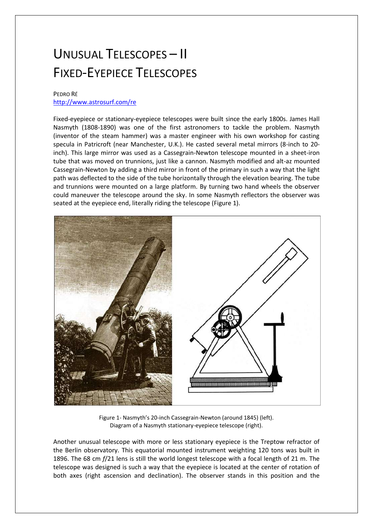## UNUSUAL TELESCOPES – II FIXED-EYEPIECE TELESCOPES

## PEDRO RÉ <http://www.astrosurf.com/re>

Fixed-eyepiece or stationary-eyepiece telescopes were built since the early 1800s. James Hall Nasmyth (1808-1890) was one of the first astronomers to tackle the problem. Nasmyth (inventor of the steam hammer) was a master engineer with his own workshop for casting specula in Patricroft (near Manchester, U.K.). He casted several metal mirrors (8-inch to 20 inch). This large mirror was used as a Cassegrain-Newton telescope mounted in a sheet-iron tube that was moved on trunnions, just like a cannon. Nasmyth modified and alt-az mounted Cassegrain-Newton by adding a third mirror in front of the primary in such a way that the light path was deflected to the side of the tube horizontally through the elevation bearing. The tube and trunnions were mounted on a large platform. By turning two hand wheels the observer could maneuver the telescope around the sky. In some Nasmyth reflectors the observer was seated at the eyepiece end, literally riding the telescope (Figure 1).



Figure 1- Nasmyth's 20-inch Cassegrain-Newton (around 1845) (left). Diagram of a Nasmyth stationary-eyepiece telescope (right).

Another unusual telescope with more or less stationary eyepiece is the Treptow refractor of the Berlin observatory. This equatorial mounted instrument weighting 120 tons was built in 1896. The 68 cm *f*/21 lens is still the world longest telescope with a focal length of 21 m. The telescope was designed is such a way that the eyepiece is located at the center of rotation of both axes (right ascension and declination). The observer stands in this position and the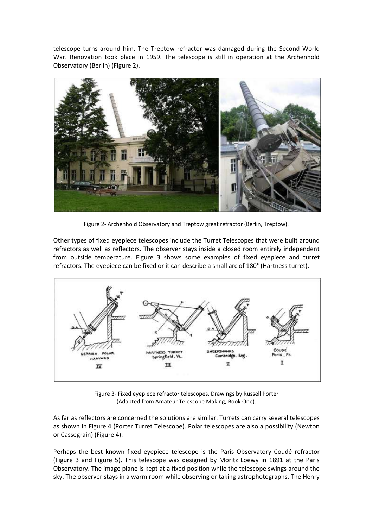telescope turns around him. The Treptow refractor was damaged during the Second World War. Renovation took place in 1959. The telescope is still in operation at the Archenhold Observatory (Berlin) (Figure 2).



Figure 2- Archenhold Observatory and Treptow great refractor (Berlin, Treptow).

Other types of fixed eyepiece telescopes include the Turret Telescopes that were built around refractors as well as reflectors. The observer stays inside a closed room entirely independent from outside temperature. Figure 3 shows some examples of fixed eyepiece and turret refractors. The eyepiece can be fixed or it can describe a small arc of 180° (Hartness turret).



Figure 3- Fixed eyepiece refractor telescopes. Drawings by Russell Porter (Adapted from Amateur Telescope Making, Book One).

As far as reflectors are concerned the solutions are similar. Turrets can carry several telescopes as shown in Figure 4 (Porter Turret Telescope). Polar telescopes are also a possibility (Newton or Cassegrain) (Figure 4).

Perhaps the best known fixed eyepiece telescope is the Paris Observatory Coudé refractor (Figure 3 and Figure 5). This telescope was designed by Moritz Loewy in 1891 at the Paris Observatory. The image plane is kept at a fixed position while the telescope swings around the sky. The observer stays in a warm room while observing or taking astrophotographs. The Henry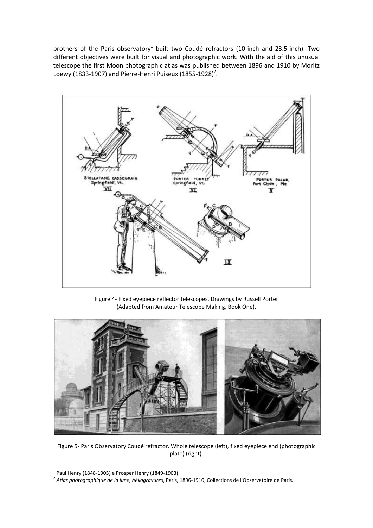brothers of the Paris observatory<sup>1</sup> built two Coudé refractors (10-inch and 23.5-inch). Two different objectives were built for visual and photographic work. With the aid of this unusual telescope the first Moon photographic atlas was published between 1896 and 1910 by Moritz Loewy (1833-1907) and Pierre-Henri Puiseux (1855-1928)<sup>2</sup>.



Figure 4- Fixed eyepiece reflector telescopes. Drawings by Russell Porter (Adapted from Amateur Telescope Making, Book One).



Figure 5- Paris Observatory Coudé refractor. Whole telescope (left), fixed eyepiece end (photographic plate) (right).

**.** 

 $1$  Paul Henry (1848-1905) e Prosper Henry (1849-1903).

<sup>2</sup> *Atlas photographique de la lune, héliogravures*, Paris, 1896-1910, Collections de l'Observatoire de Paris.